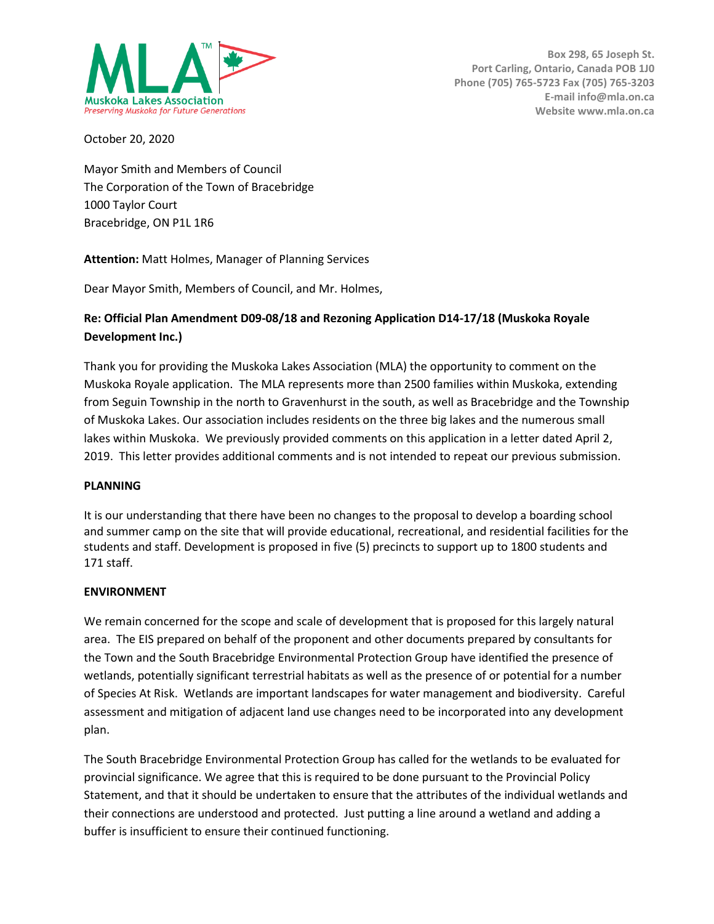

October 20, 2020

Mayor Smith and Members of Council The Corporation of the Town of Bracebridge 1000 Taylor Court Bracebridge, ON P1L 1R6

**Attention:** Matt Holmes, Manager of Planning Services

Dear Mayor Smith, Members of Council, and Mr. Holmes,

## **Re: Official Plan Amendment D09-08/18 and Rezoning Application D14-17/18 (Muskoka Royale Development Inc.)**

Thank you for providing the Muskoka Lakes Association (MLA) the opportunity to comment on the Muskoka Royale application. The MLA represents more than 2500 families within Muskoka, extending from Seguin Township in the north to Gravenhurst in the south, as well as Bracebridge and the Township of Muskoka Lakes. Our association includes residents on the three big lakes and the numerous small lakes within Muskoka. We previously provided comments on this application in a letter dated April 2, 2019. This letter provides additional comments and is not intended to repeat our previous submission.

## **PLANNING**

It is our understanding that there have been no changes to the proposal to develop a boarding school and summer camp on the site that will provide educational, recreational, and residential facilities for the students and staff. Development is proposed in five (5) precincts to support up to 1800 students and 171 staff.

## **ENVIRONMENT**

We remain concerned for the scope and scale of development that is proposed for this largely natural area. The EIS prepared on behalf of the proponent and other documents prepared by consultants for the Town and the South Bracebridge Environmental Protection Group have identified the presence of wetlands, potentially significant terrestrial habitats as well as the presence of or potential for a number of Species At Risk. Wetlands are important landscapes for water management and biodiversity. Careful assessment and mitigation of adjacent land use changes need to be incorporated into any development plan.

The South Bracebridge Environmental Protection Group has called for the wetlands to be evaluated for provincial significance. We agree that this is required to be done pursuant to the Provincial Policy Statement, and that it should be undertaken to ensure that the attributes of the individual wetlands and their connections are understood and protected. Just putting a line around a wetland and adding a buffer is insufficient to ensure their continued functioning.